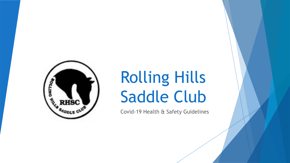

# Rolling Hills Saddle Club

Covid-19 Health & Safety Guidelines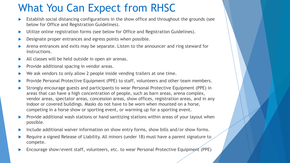## What You Can Expect from RHSC

- Establish social distancing configurations in the show office and throughout the grounds (see below for Office and Registration Guidelines).
- ▶ Utilize online registration forms (see below for Office and Registration Guidelines).
- Designate proper entrances and egress points when possible.
- Arena entrances and exits may be separate. Listen to the announcer and ring steward for instructions.
- All classes will be held outside in open air arenas.
- Provide additional spacing in vendor areas.
- We ask vendors to only allow 2 people inside vending trailers at one time.
- Provide Personal Protective Equipment (PPE) to staff, volunteers and other team members.
- Strongly encourage guests and participants to wear Personal Protective Equipment (PPE) in areas that can have a high concentration of people, such as barn areas, arena complex, vendor areas, spectator areas, concession areas, show offices, registration areas, and in any indoor or covered buildings. Masks do not have to be worn when mounted on a horse, competing in a horse show or sporting event, or warming up for a sporting event.
- Provide additional wash stations or hand sanitizing stations within areas of your layout when possible.
- Include additional waiver information on show entry forms, show bills and/or show forms.
- Require a signed Release of Liability. All minors (under 18) must have a parent signature to compete.
- Encourage show/event staff, volunteers, etc. to wear Personal Protective Equipment (PPE)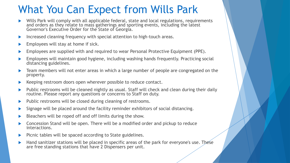### What You Can Expect from Wills Park

- Wills Park will comply with all applicable federal, state and local regulations, requirements and orders as they relate to mass gatherings and sporting events, including the latest Governor's Executive Order for the State of Georgia.
- Increased cleaning frequency with special attention to high-touch areas.
- Employees will stay at home if sick.
- Employees are supplied with and required to wear Personal Protective Equipment (PPE).
- Employees will maintain good hygiene, including washing hands frequently. Practicing social distancing guidelines.
- Team members will not enter areas in which a large number of people are congregated on the property.
- Keeping restroom doors open wherever possible to reduce contact.
- Public restrooms will be cleaned nightly as usual. Staff will check and clean during their daily routine. Please report any questions or concerns to Staff on duty.
- $\blacktriangleright$  Public restrooms will be closed during cleaning of restrooms.
- Signage will be placed around the facility reminder exhibitors of social distancing.
- Bleachers will be roped off and off limits during the show.
- Concession Stand will be open. There will be a modified order and pickup to reduce interactions.
- Picnic tables will be spaced according to State guidelines.
- Hand sanitizer stations will be placed in specific areas of the park for everyone's use. These are free standing stations that have 2 Dispensers per unit.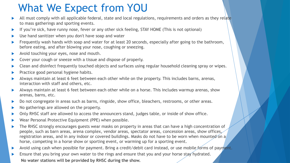### What We Expect from YOU

- All must comply with all applicable federal, state and local regulations, requirements and orders as they relate to mass gatherings and sporting events.
- If you're sick, have runny nose, fever or any other sick feeling, STAY HOME (This is not optional)
- Use hand sanitizer when you don't have soap and water
- Frequently wash hands with soap and water for at least 20 seconds, especially after going to the bathroom, before eating, and after blowing your nose, coughing or sneezing.
- Avoid touching your eyes, nose and mouth.
- ▶ Cover your cough or sneeze with a tissue and dispose of properly.
- ▶ Clean and disinfect frequently touched objects and surfaces using regular household cleaning spray or wipes.
- Practice good personal hygiene habits.
- Always maintain at least 6 feet between each other while on the property. This includes barns, arenas, interaction with staff and others, etc.
- Always maintain at least 6 feet between each other while on a horse. This includes warmup arenas, show arenas, barns, etc.
- Do not congregate in areas such as barns, ringside, show office, bleachers, restrooms, or other areas.
- No gatherings are allowed on the property.
- Only RHSC staff are allowed to access the announcers stand, judges table, or inside of show office.
- Wear Personal Protective Equipment (PPE) when possible.
- The RHSC strongly encourages guests wear masks on property in areas that can have a high concentration of people, such as barn areas, arena complex, vendor areas, spectator areas, concession areas, show offices, registration areas, and in any indoor or covered buildings. Masks do not have to be worn when mounted on a horse, competing in a horse show or sporting event, or warming up for a sporting event.
- Avoid using cash when possible for payment. Bring a credit/debit card instead, or use mobile forms of payment.
- Ensure that you bring your own water to the rings and ensure that you and your horse stay hydrated. **No water stations will be provided by RHSC during the show.**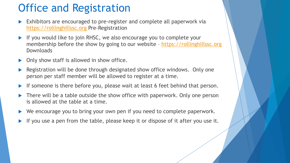#### Office and Registration

- Exhibitors are encouraged to pre-register and complete all paperwork via [https://rollinghillssc.org](https://rollinghillssc.org/) Pre-Registration
- If you would like to join RHSC, we also encourage you to complete your membership before the show by going to our website – [https://rollinghillssc.org](https://rollinghillssc.org/) **Downloads**
- Only show staff is allowed in show office.
- Registration will be done through designated show office windows. Only one person per staff member will be allowed to register at a time.
- If someone is there before you, please wait at least 6 feet behind that person.
- There will be a table outside the show office with paperwork. Only one person is allowed at the table at a time.
- We encourage you to bring your own pen if you need to complete paperwork.
- If you use a pen from the table, please keep it or dispose of it after you use it.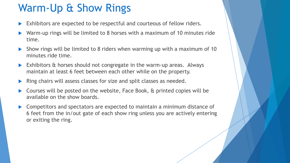## Warm-Up & Show Rings

- Exhibitors are expected to be respectful and courteous of fellow riders.
- Warm-up rings will be limited to 8 horses with a maximum of 10 minutes ride time.
- Show rings will be limited to 8 riders when warming up with a maximum of 10 minutes ride time.
- Exhibitors & horses should not congregate in the warm-up areas. Always maintain at least 6 feet between each other while on the property.
- Ring chairs will assess classes for size and split classes as needed.
- Courses will be posted on the website, Face Book, & printed copies will be available on the show boards.
- ▶ Competitors and spectators are expected to maintain a minimum distance of 6 feet from the in/out gate of each show ring unless you are actively entering or exiting the ring.